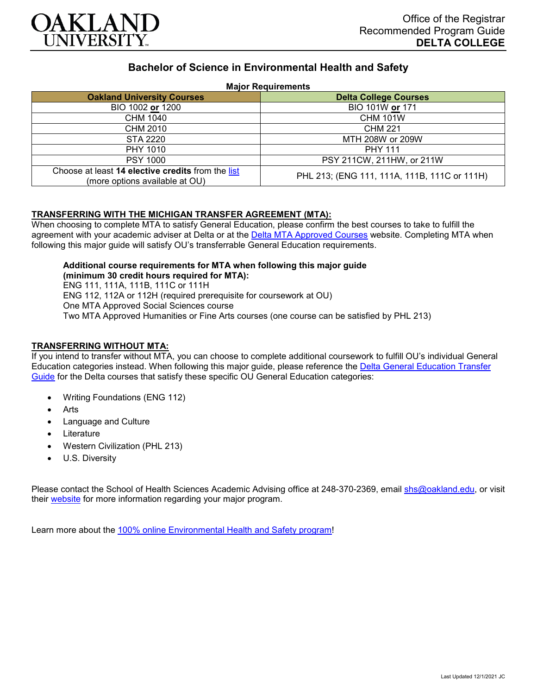

# **Bachelor of Science in Environmental Health and Safety**

#### **Major Requirements**

| <b>Oakland University Courses</b>                                                   | <b>Delta College Courses</b>                 |
|-------------------------------------------------------------------------------------|----------------------------------------------|
| BIO 1002 or 1200                                                                    | BIO 101W or 171                              |
| CHM 1040                                                                            | <b>CHM 101W</b>                              |
| CHM 2010                                                                            | <b>CHM 221</b>                               |
| STA 2220                                                                            | MTH 208W or 209W                             |
| PHY 1010                                                                            | <b>PHY 111</b>                               |
| <b>PSY 1000</b>                                                                     | PSY 211CW, 211HW, or 211W                    |
| Choose at least 14 elective credits from the list<br>(more options available at OU) | PHL 213; (ENG 111, 111A, 111B, 111C or 111H) |

### **TRANSFERRING WITH THE MICHIGAN TRANSFER AGREEMENT (MTA):**

When choosing to complete MTA to satisfy General Education, please confirm the best courses to take to fulfill the agreement with your academic adviser at Delta or at the [Delta MTA Approved Courses](http://catalog.delta.edu/content.php?catoid=11&navoid=1451) website. Completing MTA when following this major guide will satisfy OU's transferrable General Education requirements.

**Additional course requirements for MTA when following this major guide (minimum 30 credit hours required for MTA):** ENG 111, 111A, 111B, 111C or 111H ENG 112, 112A or 112H (required prerequisite for coursework at OU) One MTA Approved Social Sciences course Two MTA Approved Humanities or Fine Arts courses (one course can be satisfied by PHL 213)

#### **TRANSFERRING WITHOUT MTA:**

If you intend to transfer without MTA, you can choose to complete additional coursework to fulfill OU's individual General Education categories instead. When following this major guide, please reference the [Delta General Education Transfer](https://www.oakland.edu/Assets/Oakland/program-guides/delta-college/university-general-education-requirements/Delta%20Gen%20Ed.pdf)  [Guide](https://www.oakland.edu/Assets/Oakland/program-guides/delta-college/university-general-education-requirements/Delta%20Gen%20Ed.pdf) for the Delta courses that satisfy these specific OU General Education categories:

- Writing Foundations (ENG 112)
- **Arts**
- Language and Culture
- **Literature**
- Western Civilization (PHL 213)
- U.S. Diversity

Please contact the School of Health Sciences Academic Advising office at 248-370-2369, email [shs@oakland.edu,](mailto:shs@oakland.edu) or visit their [website](http://www.oakland.edu/shs/advising) for more information regarding your major program.

Learn more about the [100% online Environmental Health and Safety program!](https://www.oakland.edu/online/undergraduate-degree-programs/ehs/)